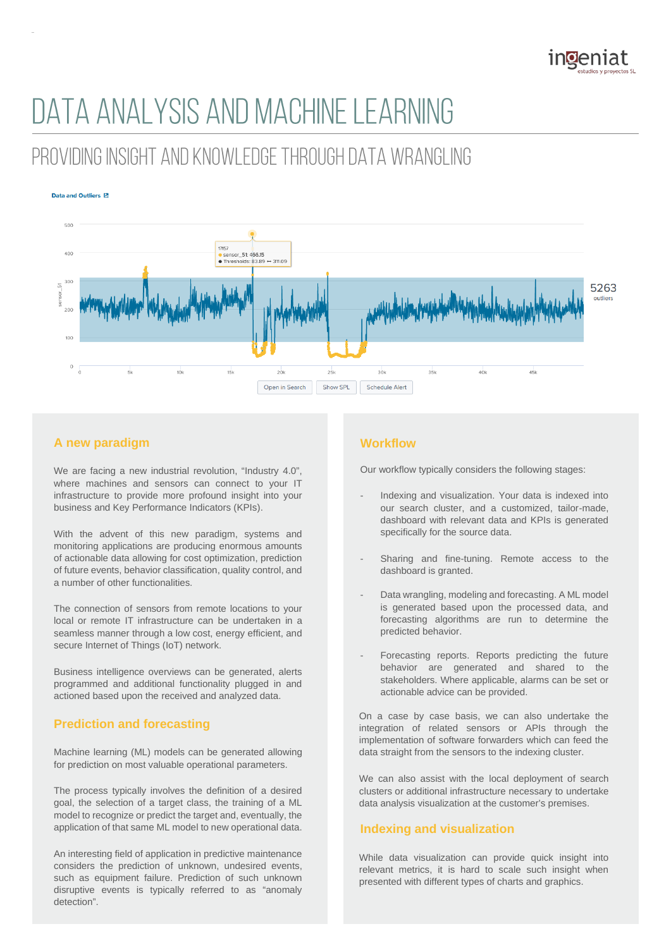

# DATA ANALYSIS AND MACHINE LEARNING

# PROVIDING INSIGHT AND KNOWLEDGE THROUGH DATA WRANGLING

#### Data and Outliers <sup>[2]</sup>



# **A new paradigm**

We are facing a new industrial revolution, "Industry 4.0", where machines and sensors can connect to your IT infrastructure to provide more profound insight into your business and Key Performance Indicators (KPIs).

With the advent of this new paradigm, systems and monitoring applications are producing enormous amounts of actionable data allowing for cost optimization, prediction of future events, behavior classification, quality control, and a number of other functionalities.

The connection of sensors from remote locations to your local or remote IT infrastructure can be undertaken in a seamless manner through a low cost, energy efficient, and secure Internet of Things (IoT) network.

Business intelligence overviews can be generated, alerts programmed and additional functionality plugged in and actioned based upon the received and analyzed data.

# **Prediction and forecasting**

Machine learning (ML) models can be generated allowing for prediction on most valuable operational parameters.

The process typically involves the definition of a desired goal, the selection of a target class, the training of a ML model to recognize or predict the target and, eventually, the application of that same ML model to new operational data.

An interesting field of application in predictive maintenance considers the prediction of unknown, undesired events, such as equipment failure. Prediction of such unknown disruptive events is typically referred to as "anomaly detection".

# **Workflow**

Our workflow typically considers the following stages:

- Indexing and visualization. Your data is indexed into our search cluster, and a customized, tailor-made, dashboard with relevant data and KPIs is generated specifically for the source data.
- Sharing and fine-tuning. Remote access to the dashboard is granted.
- Data wrangling, modeling and forecasting. A ML model is generated based upon the processed data, and forecasting algorithms are run to determine the predicted behavior.
- Forecasting reports. Reports predicting the future behavior are generated and shared to the stakeholders. Where applicable, alarms can be set or actionable advice can be provided.

On a case by case basis, we can also undertake the integration of related sensors or APIs through the implementation of software forwarders which can feed the data straight from the sensors to the indexing cluster.

We can also assist with the local deployment of search clusters or additional infrastructure necessary to undertake data analysis visualization at the customer's premises.

# **Indexing and visualization**

While data visualization can provide quick insight into relevant metrics, it is hard to scale such insight when presented with different types of charts and graphics.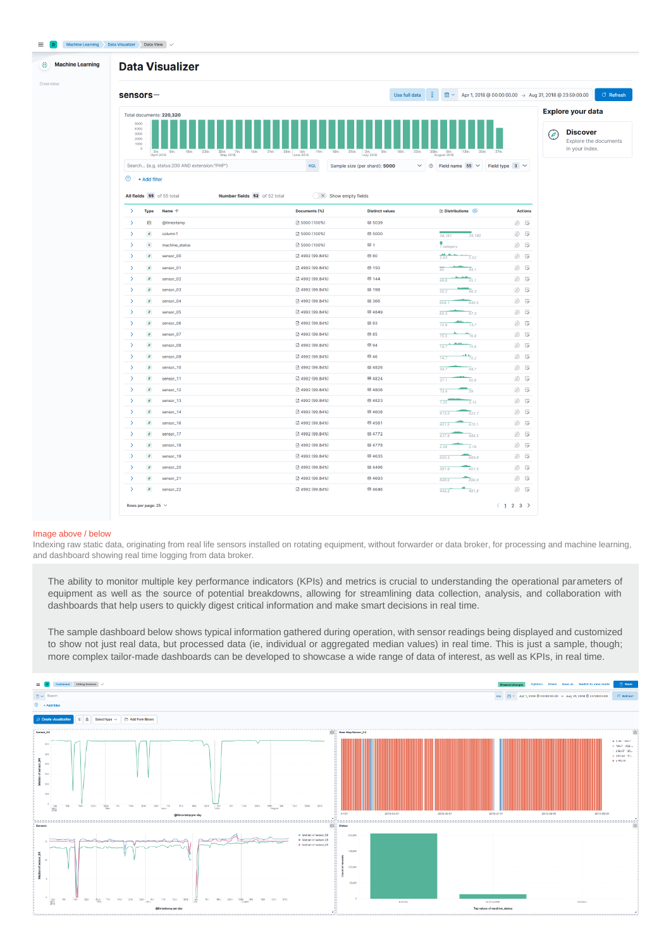

#### Image above / below

Indexing raw static data, originating from real life sensors installed on rotating equipment, without forwarder or data broker, for processing and machine learning, and dashboard showing real time logging from data broker.

The ability to monitor multiple key performance indicators (KPIs) and metrics is crucial to understanding the operational parameters of equipment as well as the source of potential breakdowns, allowing for streamlining data collection, analysis, and collaboration with dashboards that help users to quickly digest critical information and make smart decisions in real time.

The sample dashboard below shows typical information gathered during operation, with sensor readings being displayed and customized to show not just real data, but processed data (ie, individual or aggregated median values) in real time. This is just a sample, though; more complex tailor-made dashboards can be developed to showcase a wide range of data of interest, as well as KPIs, in real time.

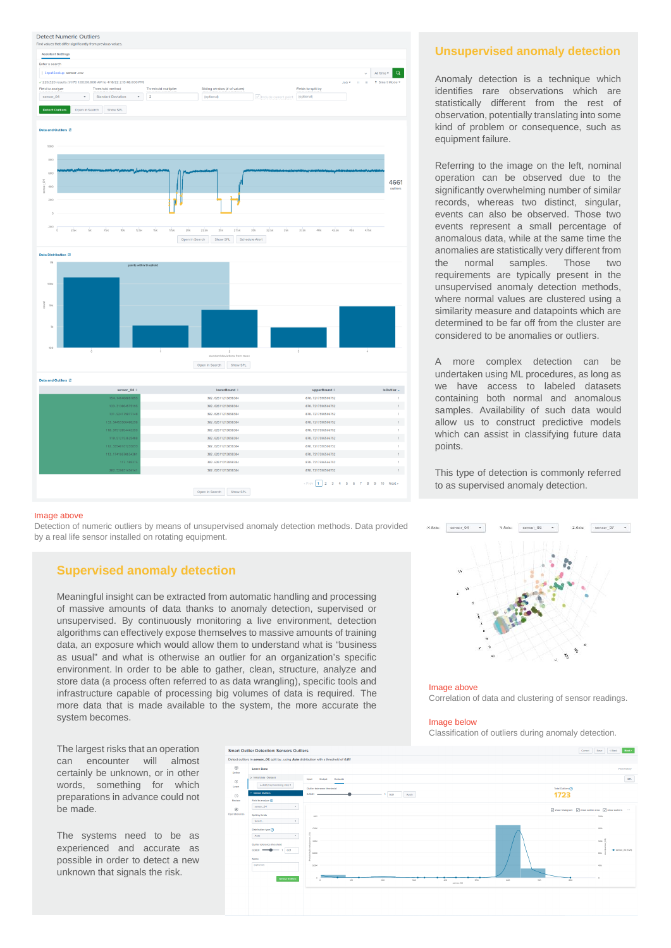

#### Image above

Detection of numeric outliers by means of unsupervised anomaly detection methods. Data provided by a real life sensor installed on rotating equipment.

## **Supervised anomaly detection**

Meaningful insight can be extracted from automatic handling and processing of massive amounts of data thanks to anomaly detection, supervised or unsupervised. By continuously monitoring a live environment, detection algorithms can effectively expose themselves to massive amounts of training data, an exposure which would allow them to understand what is "business as usual" and what is otherwise an outlier for an organization's specific environment. In order to be able to gather, clean, structure, analyze and store data (a process often referred to as data wrangling), specific tools and infrastructure capable of processing big volumes of data is required. The more data that is made available to the system, the more accurate the system becomes.



#### Image below

 $X$  Axis:  $\overline{\qquad \qquad }$  sensor\_04  $\qquad$   $\qquad$ 

Classification of outliers during anomaly detection.

The largest risks that an operation can encounter will almost certainly be unknown, or in other words, something for which preparations in advance could not be made.

The systems need to be as experienced and accurate as possible in order to detect a new unknown that signals the risk.



## **Unsupervised anomaly detection**

Anomaly detection is a technique which identifies rare observations which are statistically different from the rest of observation, potentially translating into some kind of problem or consequence, such as equipment failure.

Referring to the image on the left, nominal operation can be observed due to the significantly overwhelming number of similar records, whereas two distinct, singular, events can also be observed. Those two events represent a small percentage of anomalous data, while at the same time the anomalies are statistically very different from the normal samples. Those two requirements are typically present in the unsupervised anomaly detection methods, where normal values are clustered using a similarity measure and datapoints which are determined to be far off from the cluster are considered to be anomalies or outliers.

A more complex detection can be undertaken using ML procedures, as long as we have access to labeled datasets containing both normal and anomalous samples. Availability of such data would allow us to construct predictive models which can assist in classifying future data points.

This type of detection is commonly referred to as supervised anomaly detection.

> sensor\_06  $\sim$

V Aver.

 $Z$  Axis:  $\left[$  sensor\_07  $\right.$   $\left.$   $\right.$   $\left.$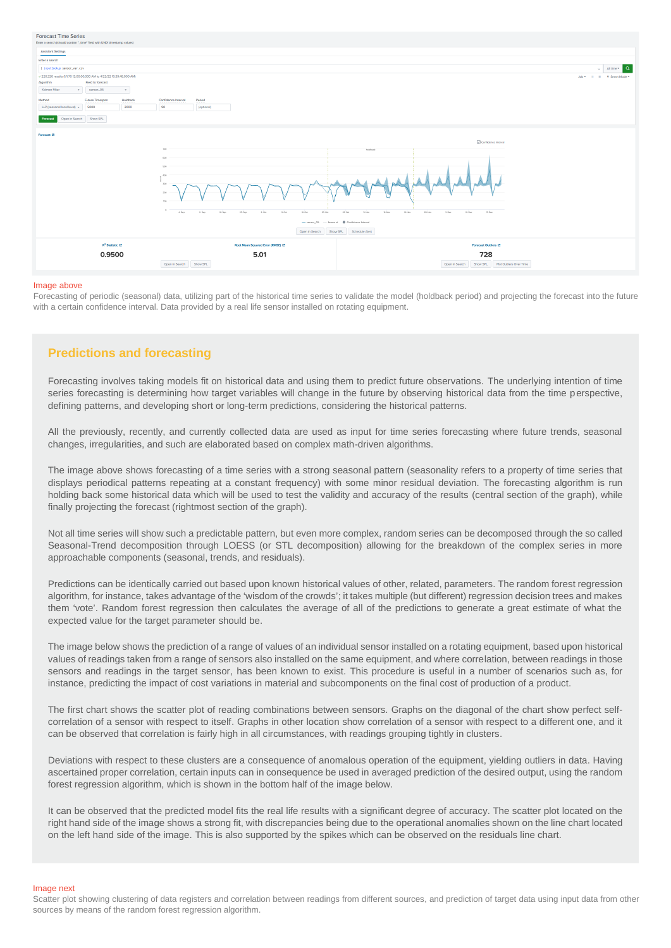

#### Image above

Forecasting of periodic (seasonal) data, utilizing part of the historical time series to validate the model (holdback period) and projecting the forecast into the future with a certain confidence interval. Data provided by a real life sensor installed on rotating equipment.

## **Predictions and forecasting**

Forecasting involves taking models fit on historical data and using them to predict future observations. The underlying intention of time series forecasting is determining how target variables will change in the future by observing historical data from the time perspective, defining patterns, and developing short or long-term predictions, considering the historical patterns.

All the previously, recently, and currently collected data are used as input for time series forecasting where future trends, seasonal changes, irregularities, and such are elaborated based on complex math-driven algorithms.

The image above shows forecasting of a time series with a strong seasonal pattern (seasonality refers to a property of time series that displays periodical patterns repeating at a constant frequency) with some minor residual deviation. The forecasting algorithm is run holding back some historical data which will be used to test the validity and accuracy of the results (central section of the graph), while finally projecting the forecast (rightmost section of the graph).

Not all time series will show such a predictable pattern, but even more complex, random series can be decomposed through the so called Seasonal-Trend decomposition through LOESS (or STL decomposition) allowing for the breakdown of the complex series in more approachable components (seasonal, trends, and residuals).

Predictions can be identically carried out based upon known historical values of other, related, parameters. The random forest regression algorithm, for instance, takes advantage of the 'wisdom of the crowds'; it takes multiple (but different) regression decision trees and makes them 'vote'. Random forest regression then calculates the average of all of the predictions to generate a great estimate of what the expected value for the target parameter should be.

The image below shows the prediction of a range of values of an individual sensor installed on a rotating equipment, based upon historical values of readings taken from a range of sensors also installed on the same equipment, and where correlation, between readings in those sensors and readings in the target sensor, has been known to exist. This procedure is useful in a number of scenarios such as, for instance, predicting the impact of cost variations in material and subcomponents on the final cost of production of a product.

The first chart shows the scatter plot of reading combinations between sensors. Graphs on the diagonal of the chart show perfect selfcorrelation of a sensor with respect to itself. Graphs in other location show correlation of a sensor with respect to a different one, and it can be observed that correlation is fairly high in all circumstances, with readings grouping tightly in clusters.

Deviations with respect to these clusters are a consequence of anomalous operation of the equipment, yielding outliers in data. Having ascertained proper correlation, certain inputs can in consequence be used in averaged prediction of the desired output, using the random forest regression algorithm, which is shown in the bottom half of the image below.

It can be observed that the predicted model fits the real life results with a significant degree of accuracy. The scatter plot located on the right hand side of the image shows a strong fit, with discrepancies being due to the operational anomalies shown on the line chart located on the left hand side of the image. This is also supported by the spikes which can be observed on the residuals line chart.

Image next

Scatter plot showing clustering of data registers and correlation between readings from different sources, and prediction of target data using input data from other sources by means of the random forest regression algorithm.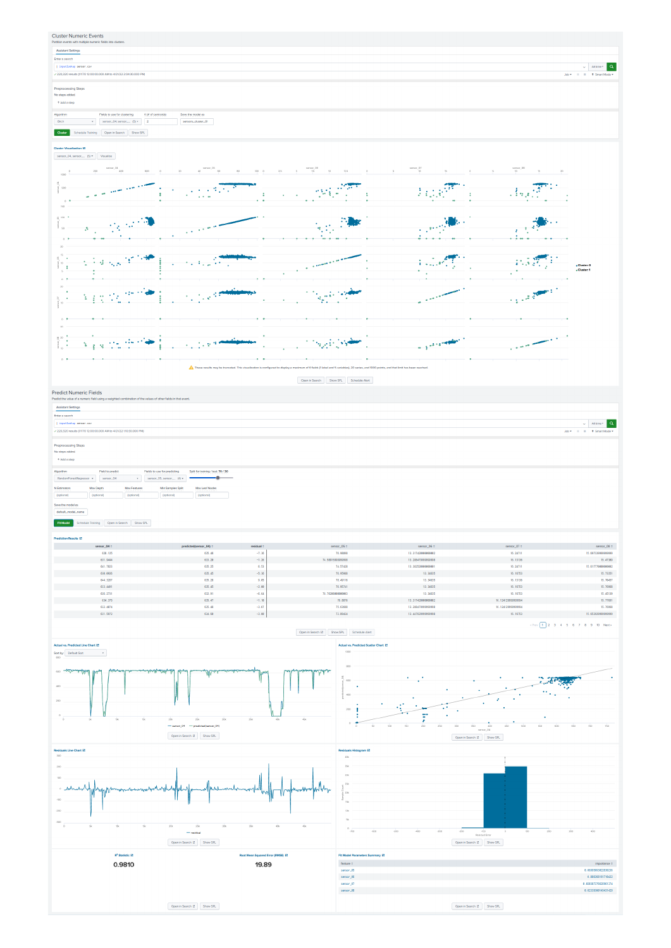#### **Cluster Numeric Events** Assistant Settings Enter a search  $\begin{array}{c|c|c|c} \hline \multicolumn{3}{c|}{\swarrow} & \multicolumn{3}{c}{\text{At time}} \star & \textbf{Q} \cr \multicolumn{3}{c|}{\text{At time}} & \multicolumn{3}{c}{\text{At time}} \star & \multicolumn{3}{c}{\text{A}} \cr \multicolumn{3}{c|}{\text{Job}} \star & \multicolumn{3}{c}{\text{II}} & \multicolumn{3}{c}{\text{I}} & \multicolumn{3}{c}{\text{H}} & \multicolumn{3}{c}{\text{I}} \cr \multicolumn{3}{c|}{\text{Job}} \star & \multicolumn{3}{c}{\text{II$ |<br>| input lookup sensor .csv<br>|<br>| 220,320 results (1/1/70 12:0 M to 4/21/22 2:04:30.000 PM Preprocessing Steps<br>No steps added.  $+$  Add a step Algorithm<br>
Fields to use for clustering  $K(H \text{ of centroid})$ <br>
Save the model as<br>  $\bullet$   $\begin{array}{|l|} \text{Brch} & \text{Save the model at} \\ \hline \end{array}$ Custor Schedule Training Open in Search Show SPL Cluster Visualization  $\overline{E}$ <br>
sensor\_04, sensor\_ $-$  (5)  $*$  Visualize 05 00 00 0 2.5 5 0011000\_05<br>| 02.5 5 7.5 10 12.5  $\frac{1}{2}$  sensor\_08  $\frac{1}{2}$  .  $\begin{array}{ccccc} 0 & \cdots & \cdots & 0 & \cdots \end{array}$ فللمستشف والمستنقية **CONSTRUCTION**  $_{\rm 50}^{\rm 54}$  $\mathcal{F} \in \mathbb{R}^{D \times D}$  $\label{eq:3.1} \frac{1}{\sqrt{2\pi\sqrt{2}}}\frac{1}{\sqrt{2}}\frac{1}{\sqrt{2}}\frac{1}{\sqrt{2}}\frac{1}{\sqrt{2}}\frac{1}{\sqrt{2}}\frac{1}{\sqrt{2}}\frac{1}{\sqrt{2}}\frac{1}{\sqrt{2}}\frac{1}{\sqrt{2}}\frac{1}{\sqrt{2}}\frac{1}{\sqrt{2}}\frac{1}{\sqrt{2}}\frac{1}{\sqrt{2}}\frac{1}{\sqrt{2}}\frac{1}{\sqrt{2}}\frac{1}{\sqrt{2}}\frac{1}{\sqrt{2}}\frac{1}{\sqrt{2}}\frac{1}{\sqrt{2}}\frac{1}{$ and <sup>a</sup> Ţ,  $\overline{\phantom{a}}$  $\bar{z}$  $\frac{1}{100}$  $200 \mathcal{L}_{\text{max}}$  (Mac  $\mathbb{R}^3$ ο.  $\frac{3}{8}$  so  $-$ مبر  $\sim$  $\overline{\phantom{a}}$  $\begin{array}{c} \frac{1}{2} \left( \begin{array}{cc} 1 & 0 \\ 0 & 1 \end{array} \right) & \mbox{if} \quad \begin{array}{c} 0 \\ 0 & 1 \end{array} \end{array}$  $\sqrt{3} \approx \sqrt{3} \, M$ おお教師 يرودوني i Co  $\mathcal{A}$ Cluster: 0<br>Cluster: 1 Ŧ.  $\sim$  $\begin{matrix} 20 & 20 \\ 0 & 10 \\ 0 & 0 \end{matrix}$ 经收货费 in the projection of the control<br>Second Control of the control of the control of the control of the control of the control of the control of th<br>Second Control of the control of the control of the control of the control of  $\mathcal{F}_\infty$  (i.e. **A**  $\sim$  $\overline{30}$  $\begin{array}{c} \mathbb{S}^{20} \\ \vdots \\ \mathbb{S}^{20} \\ \mathbb{S} \end{array}$ **Surger Company**  $\label{eq:1} \sqrt{\frac{1}{2}\log\left(\frac{1}{\sqrt{2}}\right)}\frac{\log\left(\frac{1}{\sqrt{2}}\right)}{\log\left(\frac{1}{\sqrt{2}}\right)}\frac{\log\left(\frac{1}{\sqrt{2}}\right)}{\log\left(\frac{1}{\sqrt{2}}\right)}\frac{\log\left(\frac{1}{\sqrt{2}}\right)}{\log\left(\frac{1}{\sqrt{2}}\right)}\frac{\log\left(\frac{1}{\sqrt{2}}\right)}{\log\left(\frac{1}{\sqrt{2}}\right)}\frac{\log\left(\frac{1}{\sqrt{2}}\right)}{\log\left(\frac{1}{\sqrt{2}}\right)}\frac{\log\left(\frac$  $\label{eq:2} \mathcal{L}^{\text{c}}\left(\mathcal{L}_{\text{c}}\right) = \mathcal{L}^{\text{c}}\left(\mathcal{L}_{\text{c}}\right) = \mathcal{L}^{\text{c}}\left(\mathcal{L}_{\text{c}}\right)$ سيستعيض  $\mathcal{A}$ and the company  $\sim$   $\star$  $\overline{\phantom{a}}$ ÷. .<br>mum of 6 fields (1 label and 5 vi iries, and **K** Open in Search Show SPL Schedule Nert

Predict Numeric Fields

Assistant Settings<br>Enter a search  $\begin{tabular}{|l|l|} \hline & input lookup sensor.csv \\ \hline \end{tabular}$  <br>  $\pm$  220,320 results (IV/70 12:00:00.000 AM to 4/21/22 1:10:30.000 PM  $\begin{array}{r|cc} \hline \downarrow & \hline \end{array} \begin{array}{r|cc} \hline \text{Altime}\star & \textbf{Q} \end{array}$  Job  $\star$  –  $\hbox{II}$  –  $\hbox{II}$  –  $\star$  Smart Mode  $\star$ Preprocessing Steps<br>No steps added.<br>+ Add a step RandomFor Save the model as<br>default\_model\_name

#### **FR Model** Schedule Training Open in Search Show SPL

| sensor_04 o | predicted(sensor_04) o | residual 0 | sensor_05 o       | sensor_06 o         | sensor_07 o        | sensor_08 o        |
|-------------|------------------------|------------|-------------------|---------------------|--------------------|--------------------|
| 628.125     | 635.48                 | $-7.36$    | 76.98898          | 13.317420000000002  | 16.24711           | 15.697339999999999 |
| 631.9444    | 633.20                 | $-1.26$    | 74.58915999999998 | 13.2884799999999998 | 16, 13136          | 15.47389           |
| 641.7823    | 635.25                 | 6.53       | 74.57428          | 13.382520000000001  | 16.24711           | 15.617770000000002 |
| 638.8926    | 635.45                 | $-5.36$    | 76.95988          | 13.34635            | 16.16753           | 15.73351           |
| 644.3287    | 635.28                 | 9.05       | 78.49116          | 13.34635            | 16.13136           | 15.70457           |
| 633.4491    | 635.45                 | $-2.00$    | 76.95741          | 13.34635            | 16.16753           | 15.76958           |
| 626.2731    | 632.91                 | $-6.64$    | 78.76208000000003 | 13.34635            | 16.16753           | 15.45139           |
| 634.375     | 635.47                 | $-1.10$    | 76.8876           | 13.317420000000002  | 16.124129999999994 | 15.77691           |
| 632.4074    | 635.48                 | $-3.07$    | 75.63688          | 13.2884799999999998 | 16.124120000000004 | 15.76958           |
| 631.5972    | 634.60                 | $-3.00$    | 73.89424          | 13.4476299999999998 | 16, 16753          | 15.653929999999999 |